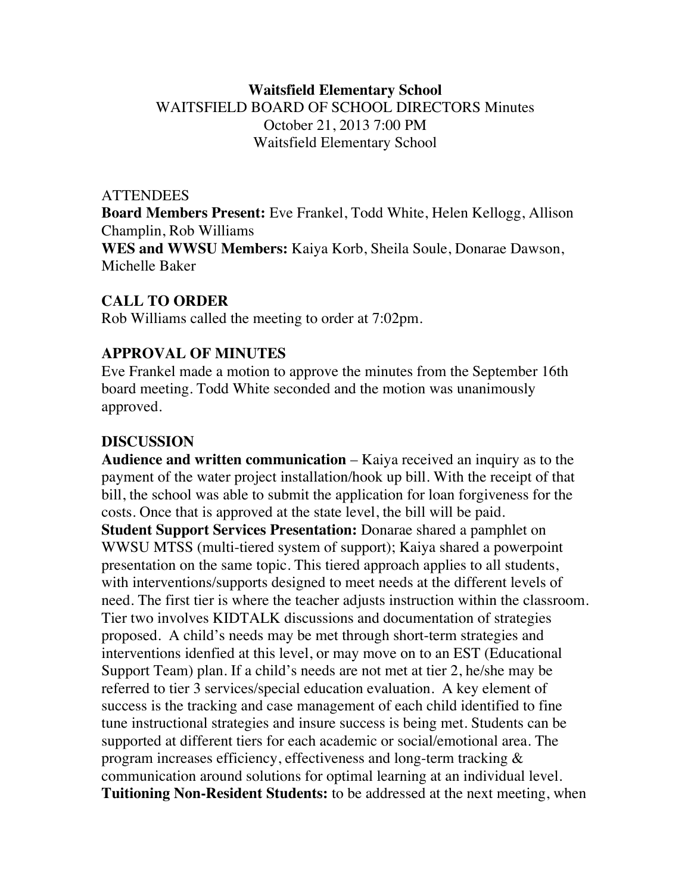## **Waitsfield Elementary School** WAITSFIELD BOARD OF SCHOOL DIRECTORS Minutes October 21, 2013 7:00 PM Waitsfield Elementary School

#### **ATTENDEES**

**Board Members Present:** Eve Frankel, Todd White, Helen Kellogg, Allison Champlin, Rob Williams **WES and WWSU Members:** Kaiya Korb, Sheila Soule, Donarae Dawson, Michelle Baker

### **CALL TO ORDER**

Rob Williams called the meeting to order at 7:02pm.

### **APPROVAL OF MINUTES**

Eve Frankel made a motion to approve the minutes from the September 16th board meeting. Todd White seconded and the motion was unanimously approved.

# **DISCUSSION**

**Audience and written communication** – Kaiya received an inquiry as to the payment of the water project installation/hook up bill. With the receipt of that bill, the school was able to submit the application for loan forgiveness for the costs. Once that is approved at the state level, the bill will be paid. **Student Support Services Presentation:** Donarae shared a pamphlet on WWSU MTSS (multi-tiered system of support); Kaiya shared a powerpoint presentation on the same topic. This tiered approach applies to all students, with interventions/supports designed to meet needs at the different levels of need. The first tier is where the teacher adjusts instruction within the classroom. Tier two involves KIDTALK discussions and documentation of strategies proposed. A child's needs may be met through short-term strategies and interventions idenfied at this level, or may move on to an EST (Educational Support Team) plan. If a child's needs are not met at tier 2, he/she may be referred to tier 3 services/special education evaluation. A key element of success is the tracking and case management of each child identified to fine tune instructional strategies and insure success is being met. Students can be supported at different tiers for each academic or social/emotional area. The program increases efficiency, effectiveness and long-term tracking & communication around solutions for optimal learning at an individual level. **Tuitioning Non-Resident Students:** to be addressed at the next meeting, when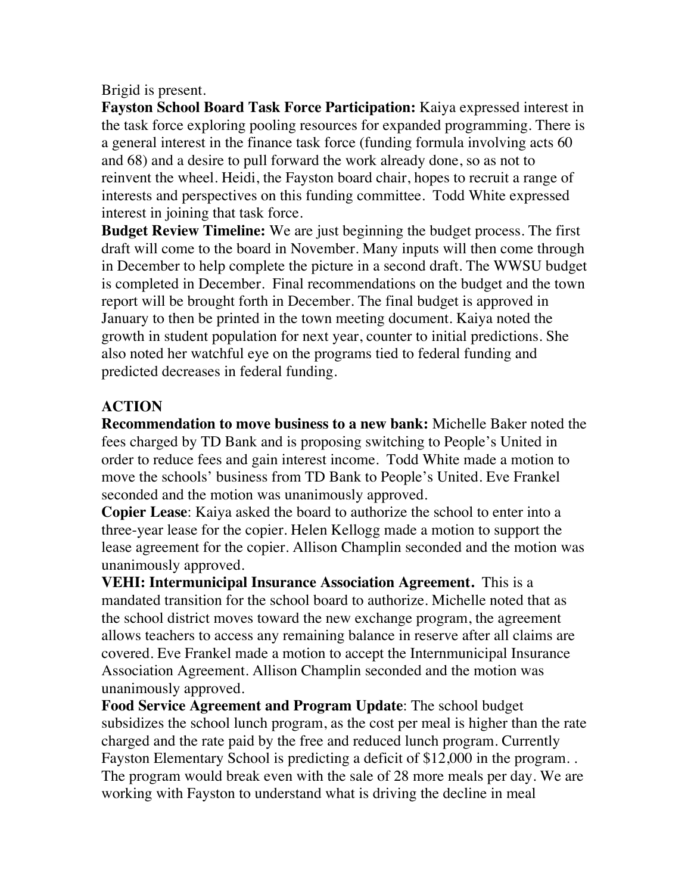Brigid is present.

**Fayston School Board Task Force Participation:** Kaiya expressed interest in the task force exploring pooling resources for expanded programming. There is a general interest in the finance task force (funding formula involving acts 60 and 68) and a desire to pull forward the work already done, so as not to reinvent the wheel. Heidi, the Fayston board chair, hopes to recruit a range of interests and perspectives on this funding committee. Todd White expressed interest in joining that task force.

**Budget Review Timeline:** We are just beginning the budget process. The first draft will come to the board in November. Many inputs will then come through in December to help complete the picture in a second draft. The WWSU budget is completed in December. Final recommendations on the budget and the town report will be brought forth in December. The final budget is approved in January to then be printed in the town meeting document. Kaiya noted the growth in student population for next year, counter to initial predictions. She also noted her watchful eye on the programs tied to federal funding and predicted decreases in federal funding.

# **ACTION**

**Recommendation to move business to a new bank:** Michelle Baker noted the fees charged by TD Bank and is proposing switching to People's United in order to reduce fees and gain interest income. Todd White made a motion to move the schools' business from TD Bank to People's United. Eve Frankel seconded and the motion was unanimously approved.

**Copier Lease**: Kaiya asked the board to authorize the school to enter into a three-year lease for the copier. Helen Kellogg made a motion to support the lease agreement for the copier. Allison Champlin seconded and the motion was unanimously approved.

**VEHI: Intermunicipal Insurance Association Agreement.** This is a mandated transition for the school board to authorize. Michelle noted that as the school district moves toward the new exchange program, the agreement allows teachers to access any remaining balance in reserve after all claims are covered. Eve Frankel made a motion to accept the Internmunicipal Insurance Association Agreement. Allison Champlin seconded and the motion was unanimously approved.

**Food Service Agreement and Program Update**: The school budget subsidizes the school lunch program, as the cost per meal is higher than the rate charged and the rate paid by the free and reduced lunch program. Currently Fayston Elementary School is predicting a deficit of \$12,000 in the program. . The program would break even with the sale of 28 more meals per day. We are working with Fayston to understand what is driving the decline in meal